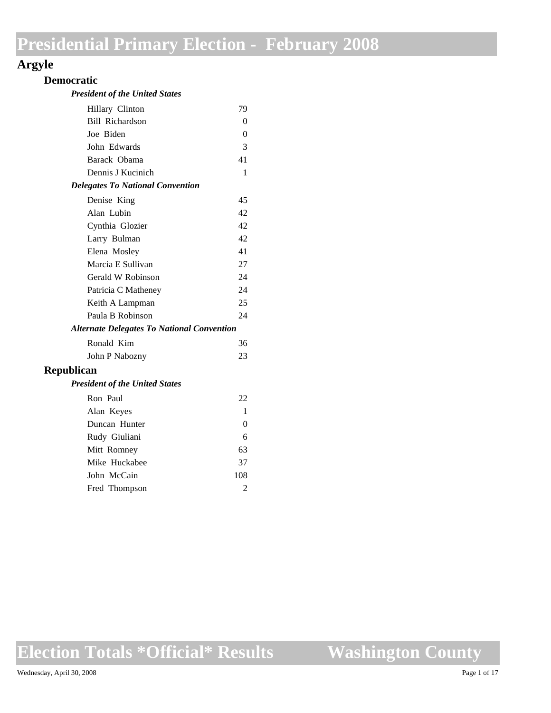## **Argyle**

### **Democratic**

| <b>President of the United States</b> |  |  |  |
|---------------------------------------|--|--|--|
|---------------------------------------|--|--|--|

| Hillary Clinton                                   | 79 |
|---------------------------------------------------|----|
| Bill Richardson                                   | 0  |
| Joe Biden                                         | 0  |
| John Edwards                                      | 3  |
| Barack Obama                                      | 41 |
| Dennis J Kucinich                                 | 1  |
| <b>Delegates To National Convention</b>           |    |
| Denise King                                       | 45 |
| Alan Lubin                                        | 42 |
| Cynthia Glozier                                   | 42 |
| Larry Bulman                                      | 42 |
| Elena Mosley                                      | 41 |
| Marcia E Sullivan                                 | 27 |
| Gerald W Robinson                                 | 24 |
| Patricia C Matheney                               | 24 |
| Keith A Lampman                                   | 25 |
| Paula B Robinson                                  | 24 |
| <b>Alternate Delegates To National Convention</b> |    |
| Ronald Kim                                        | 36 |
| John P Nabozny                                    | 23 |
| <b>Republican</b>                                 |    |
| <b>President of the United States</b>             |    |
| Ron Paul                                          | 22 |

| Alan Keyes    |     |
|---------------|-----|
| Duncan Hunter | 0   |
| Rudy Giuliani | 6   |
| Mitt Romney   | 63  |
| Mike Huckabee | 37  |
| John McCain   | 108 |
| Fred Thompson | 2   |
|               |     |

**Election Totals \*Official\* Results**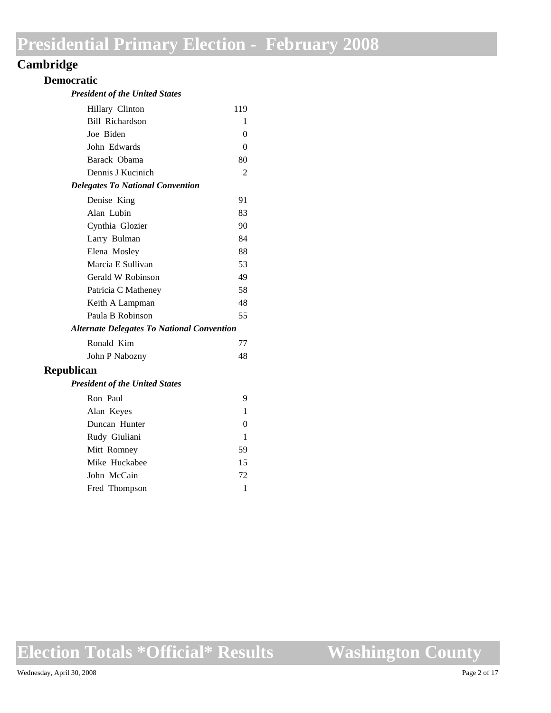## **Cambridge**

### **Democratic**

| <b>President of the United States</b> |  |  |  |
|---------------------------------------|--|--|--|
|---------------------------------------|--|--|--|

| Hillary Clinton                                   | 119      |
|---------------------------------------------------|----------|
| <b>Bill Richardson</b>                            | 1        |
| Joe Biden                                         | 0        |
| John Edwards                                      | $\theta$ |
| Barack Obama                                      | 80       |
| Dennis J Kucinich                                 | 2        |
| <b>Delegates To National Convention</b>           |          |
| Denise King                                       | 91       |
| Alan Lubin                                        | 83       |
| Cynthia Glozier                                   | 90       |
| Larry Bulman                                      | 84       |
| Elena Mosley                                      | 88       |
| Marcia E Sullivan                                 | 53       |
| Gerald W Robinson                                 | 49       |
| Patricia C Matheney                               | 58       |
| Keith A Lampman                                   | 48       |
| Paula B Robinson                                  | 55       |
| <b>Alternate Delegates To National Convention</b> |          |
| Ronald Kim                                        | 77       |
| John P Nabozny                                    | 48       |
| <b>Republican</b>                                 |          |
| <b>President of the United States</b>             |          |
| Ron Paul                                          | 9        |
| $\lambda$ 1 T $\lambda$                           |          |

| Alan Keyes    |    |
|---------------|----|
| Duncan Hunter | 0  |
| Rudy Giuliani | 1  |
| Mitt Romney   | 59 |
| Mike Huckabee | 15 |
| John McCain   | 72 |
| Fred Thompson |    |
|               |    |

# **Election Totals \*Official\* Results**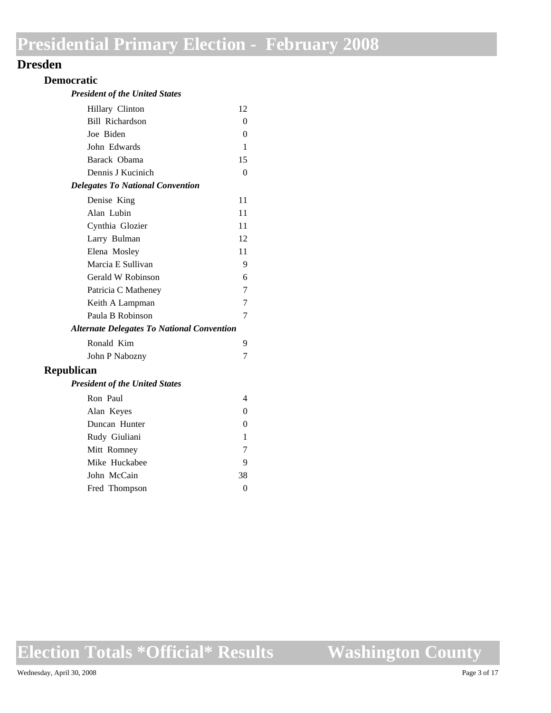### **Dresden**

### **Democratic**

| <b>President of the United States</b> |  |  |  |  |
|---------------------------------------|--|--|--|--|
|---------------------------------------|--|--|--|--|

| Hillary Clinton                                   | 12             |
|---------------------------------------------------|----------------|
| <b>Bill Richardson</b>                            | 0              |
| Joe Biden                                         | $\theta$       |
| John Edwards                                      | 1              |
| Barack Obama                                      | 15             |
| Dennis J Kucinich                                 | $\Omega$       |
| <b>Delegates To National Convention</b>           |                |
| Denise King                                       | 11             |
| Alan Lubin                                        | 11             |
| Cynthia Glozier                                   | 11             |
| Larry Bulman                                      | 12             |
| Elena Mosley                                      | 11             |
| Marcia E Sullivan                                 | 9              |
| Gerald W Robinson                                 | 6              |
| Patricia C Matheney                               | 7              |
| Keith A Lampman                                   | 7              |
| Paula B Robinson                                  | 7              |
| <b>Alternate Delegates To National Convention</b> |                |
| Ronald Kim                                        | 9              |
| John P Nabozny                                    | 7              |
| <b>Republican</b>                                 |                |
| <b>President of the United States</b>             |                |
| Ron Paul                                          | 4              |
| Alan Keyes                                        | 0              |
| Duncan Hunter                                     | 0              |
| Rudy Giuliani                                     | 1              |
| Mitt Romney                                       | 7              |
| Mike Huckabee                                     | 9              |
| John McCain                                       | 38             |
| Fred Thompson                                     | $\overline{0}$ |
|                                                   |                |

**Election Totals \*Official\* Results**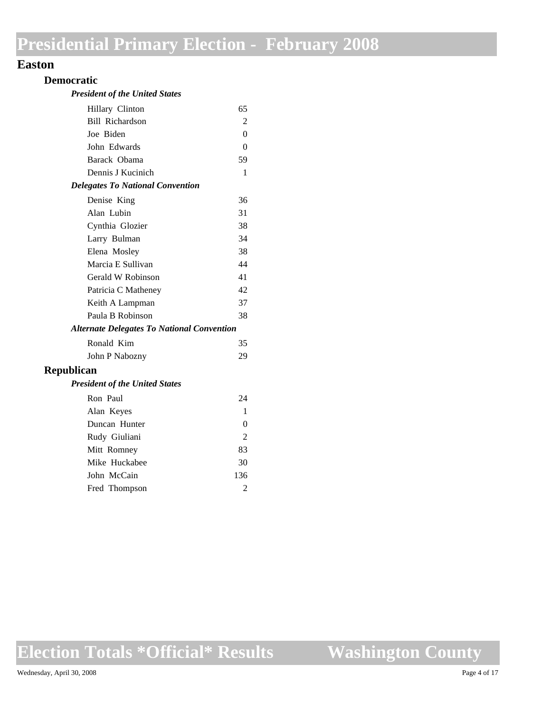### **Easton**

#### **Democratic**

#### *President of the United States*

| Hillary Clinton                                   | 65       |
|---------------------------------------------------|----------|
| Bill Richardson                                   | 2        |
| Joe Biden                                         | $\theta$ |
| John Edwards                                      | $\theta$ |
| Barack Obama                                      | 59       |
| Dennis J Kucinich                                 | 1        |
| <b>Delegates To National Convention</b>           |          |
| Denise King                                       | 36       |
| Alan Lubin                                        | 31       |
| Cynthia Glozier                                   | 38       |
| Larry Bulman                                      | 34       |
| Elena Mosley                                      | 38       |
| Marcia E Sullivan                                 | 44       |
| Gerald W Robinson                                 | 41       |
| Patricia C Matheney                               | 42       |
| Keith A Lampman                                   | 37       |
| Paula B Robinson                                  | 38       |
| <b>Alternate Delegates To National Convention</b> |          |
| Ronald Kim                                        | 35       |
| John P Nabozny                                    | 29       |
| <b>Republican</b>                                 |          |
| <b>President of the United States</b>             |          |
| Ron Paul                                          | 24       |
| Alan Keyes                                        | 1        |
| Duncan Hunter                                     | 0        |
| Rudy Giuliani                                     | 2        |

Mitt Romney 83 Mike Huckabee 30 John McCain 136 Fred Thompson 2

**Election Totals \*Official\* Results**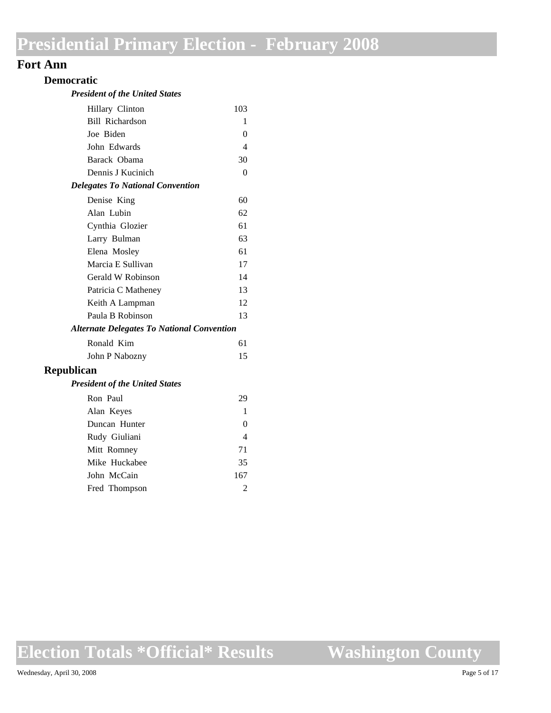### **Fort Ann**

#### **Democratic**

#### *President of the United States*

| Hillary Clinton                                   | 103            |
|---------------------------------------------------|----------------|
| Bill Richardson                                   | 1              |
| Joe Biden                                         | 0              |
| John Edwards                                      | $\overline{4}$ |
| Barack Obama                                      | 30             |
| Dennis J Kucinich                                 | $\Omega$       |
| <b>Delegates To National Convention</b>           |                |
| Denise King                                       | 60             |
| Alan Lubin                                        | 62             |
| Cynthia Glozier                                   | 61             |
| Larry Bulman                                      | 63             |
| Elena Mosley                                      | 61             |
| Marcia E Sullivan                                 | 17             |
| Gerald W Robinson                                 | 14             |
| Patricia C Matheney                               | 13             |
| Keith A Lampman                                   | 12             |
| Paula B Robinson                                  | 13             |
| <b>Alternate Delegates To National Convention</b> |                |
| Ronald Kim                                        | 61             |
| John P Nabozny                                    | 15             |
| <b>Republican</b>                                 |                |
| <b>President of the United States</b>             |                |
| Ron Paul                                          | 29             |
| Alan Keyes                                        | 1              |
| Duncan Hunter                                     | 0              |
| Rudy Giuliani                                     | 4              |

Mitt Romney 71 Mike Huckabee 35 John McCain 167 Fred Thompson 2

**Election Totals \*Official\* Results**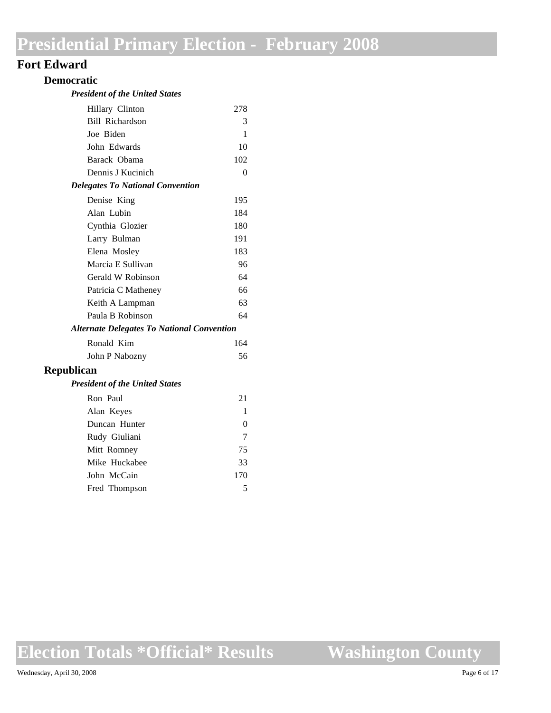### **Fort Edward**

### **Democratic**

| <b>President of the United States</b> |  |  |
|---------------------------------------|--|--|
|---------------------------------------|--|--|

| Hillary Clinton                                   | 278      |
|---------------------------------------------------|----------|
| Bill Richardson                                   | 3        |
| Joe Biden                                         | 1        |
| John Edwards                                      | 10       |
| Barack Obama                                      | 102      |
| Dennis J Kucinich                                 | $\theta$ |
| <b>Delegates To National Convention</b>           |          |
| Denise King                                       | 195      |
| Alan Lubin                                        | 184      |
| Cynthia Glozier                                   | 180      |
| Larry Bulman                                      | 191      |
| Elena Mosley                                      | 183      |
| Marcia E Sullivan                                 | 96       |
| Gerald W Robinson                                 | 64       |
| Patricia C Matheney                               | 66       |
| Keith A Lampman                                   | 63       |
| Paula B Robinson                                  | 64       |
| <b>Alternate Delegates To National Convention</b> |          |
| Ronald Kim                                        | 164      |
| John P Nabozny                                    | 56       |
| Republican                                        |          |

#### *President of the United States*

| Ron Paul      | 21  |
|---------------|-----|
| Alan Keyes    |     |
| Duncan Hunter | 0   |
| Rudy Giuliani | 7   |
| Mitt Romney   | 75  |
| Mike Huckabee | 33  |
| John McCain   | 170 |
| Fred Thompson | 5   |

## **Election Totals \*Official\* Results**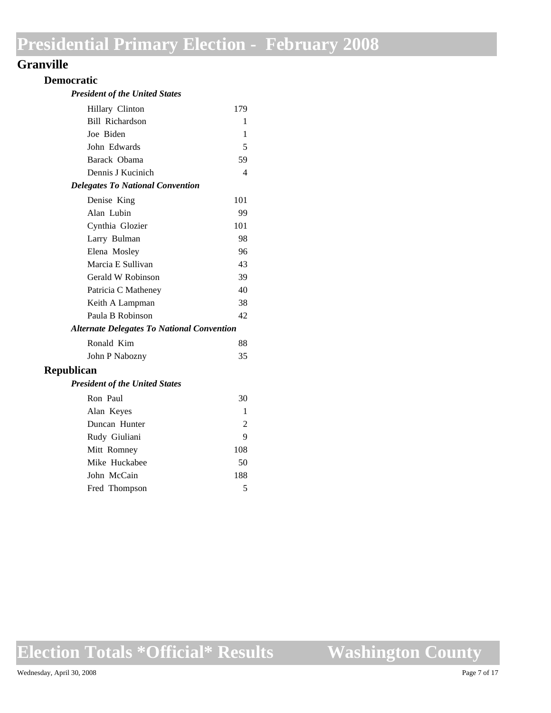### **Granville**

### **Democratic**

#### *President of the United States*

| Hillary Clinton                                   | 179 |
|---------------------------------------------------|-----|
| Bill Richardson                                   | 1   |
| Joe Biden                                         | 1   |
| John Edwards                                      | 5   |
| Barack Obama                                      | 59  |
| Dennis J Kucinich                                 | 4   |
| <b>Delegates To National Convention</b>           |     |
| Denise King                                       | 101 |
| Alan Lubin                                        | 99  |
| Cynthia Glozier                                   | 101 |
| Larry Bulman                                      | 98  |
| Elena Mosley                                      | 96  |
| Marcia E Sullivan                                 | 43  |
| Gerald W Robinson                                 | 39  |
| Patricia C Matheney                               | 40  |
| Keith A Lampman                                   | 38  |
| Paula B Robinson                                  | 42  |
| <b>Alternate Delegates To National Convention</b> |     |
| Ronald Kim                                        | 88  |
| John P Nabozny                                    | 35  |
| Republican                                        |     |
| <b>President of the United States</b>             |     |
| Ron Paul                                          | 30  |
| Alan Keyes                                        | 1   |
| Duncan Hunter                                     | 2   |
| Rudy Giuliani                                     | 9   |

Mitt Romney 108 Mike Huckabee 50 John McCain 188 Fred Thompson 5

**Election Totals \*Official\* Results**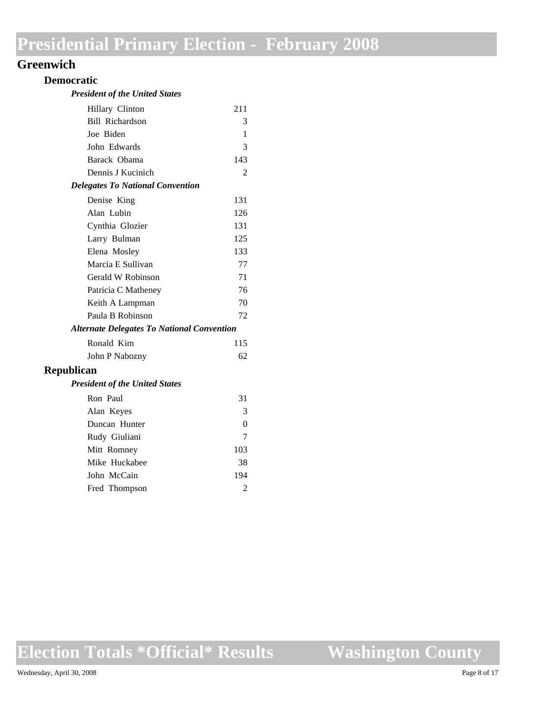## **Greenwich**

### **Democratic**

| <b>President of the United States</b> |  |  |  |
|---------------------------------------|--|--|--|
|---------------------------------------|--|--|--|

| Hillary Clinton                                   | 211            |
|---------------------------------------------------|----------------|
| Bill Richardson                                   | 3              |
| Joe Biden                                         | 1              |
| John Edwards                                      | 3              |
| Barack Obama                                      | 143            |
| Dennis J Kucinich                                 | $\overline{c}$ |
| <b>Delegates To National Convention</b>           |                |
| Denise King                                       | 131            |
| Alan Lubin                                        | 126            |
| Cynthia Glozier                                   | 131            |
| Larry Bulman                                      | 125            |
| Elena Mosley                                      | 133            |
| Marcia E Sullivan                                 | 77             |
| Gerald W Robinson                                 | 71             |
| Patricia C Matheney                               | 76             |
| Keith A Lampman                                   | 70             |
| Paula B Robinson                                  | 72             |
| <b>Alternate Delegates To National Convention</b> |                |
| Ronald Kim                                        | 115            |
| John P Nabozny                                    | 62             |
| blican                                            |                |
|                                                   |                |

## **Republi**

| <b>President of the United States</b> |  |  |  |  |
|---------------------------------------|--|--|--|--|
|---------------------------------------|--|--|--|--|

| Ron Paul      | 31  |
|---------------|-----|
| Alan Keyes    | 3   |
| Duncan Hunter | 0   |
| Rudy Giuliani |     |
| Mitt Romney   | 103 |
| Mike Huckabee | 38  |
| John McCain   | 194 |
| Fred Thompson |     |
|               |     |

# **Election Totals \*Official\* Results**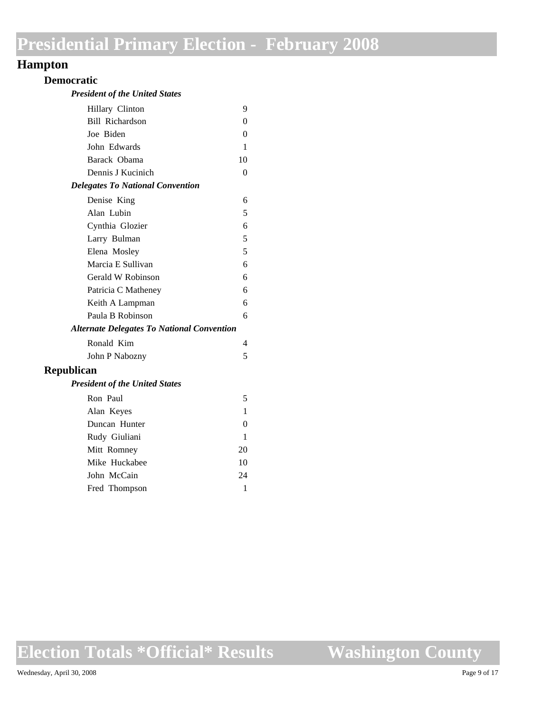### **Hampton**

### **Democratic**

#### *President of the United States*

| Hillary Clinton                                   | 9        |
|---------------------------------------------------|----------|
| <b>Bill Richardson</b>                            | 0        |
| Joe Biden                                         | $\theta$ |
| John Edwards                                      | 1        |
| Barack Obama                                      | 10       |
| Dennis J Kucinich                                 | 0        |
| <b>Delegates To National Convention</b>           |          |
| Denise King                                       | 6        |
| Alan Lubin                                        | 5        |
| Cynthia Glozier                                   | 6        |
| Larry Bulman                                      | 5        |
| Elena Mosley                                      | 5        |
| Marcia E Sullivan                                 | 6        |
| Gerald W Robinson                                 | 6        |
| Patricia C Matheney                               | 6        |
| Keith A Lampman                                   | 6        |
| Paula B Robinson                                  | 6        |
| <b>Alternate Delegates To National Convention</b> |          |
| Ronald Kim                                        | 4        |
| John P Nabozny                                    | 5        |
| <b>Republican</b>                                 |          |
| <b>President of the United States</b>             |          |
| Ron Paul                                          | 5        |
| Alan Keyes                                        | 1        |
| Duncan Hunter                                     | 0        |
| Rudy Giuliani                                     | 1        |
| Mitt Romney                                       | 20       |
| Mike Huckabee                                     | 10       |
| John McCain                                       | 24       |
| Fred Thompson                                     | 1        |

**Election Totals \*Official\* Results**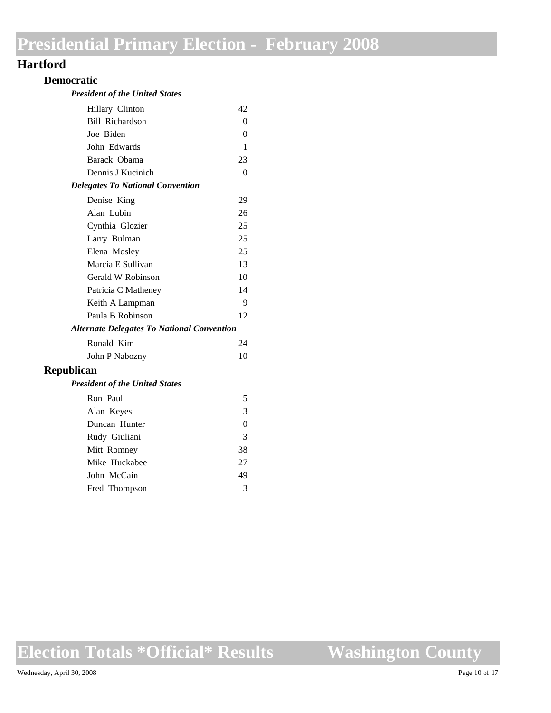### **Hartford**

### **Democratic**

#### *President of the United States*

| Hillary Clinton                                   | 42       |
|---------------------------------------------------|----------|
| Bill Richardson                                   | 0        |
| Joe Biden                                         | $\Omega$ |
| John Edwards                                      | 1        |
| Barack Obama                                      | 23       |
| Dennis J Kucinich                                 | $\theta$ |
| <b>Delegates To National Convention</b>           |          |
| Denise King                                       | 29       |
| Alan Lubin                                        | 26       |
| Cynthia Glozier                                   | 25       |
| Larry Bulman                                      | 25       |
| Elena Mosley                                      | 25       |
| Marcia E Sullivan                                 | 13       |
| Gerald W Robinson                                 | 10       |
| Patricia C Matheney                               | 14       |
| Keith A Lampman                                   | 9        |
| Paula B Robinson                                  | 12       |
| <b>Alternate Delegates To National Convention</b> |          |
| Ronald Kim                                        | 24       |
| John P Nabozny                                    | 10       |
| <b>Republican</b>                                 |          |
| <b>President of the United States</b>             |          |
| Ron Paul                                          | 5        |
| Alan Keyes                                        | 3        |
| Duncan Hunter                                     | $\theta$ |
| Rudy Giuliani                                     | 3        |
| Mitt Romney                                       | 38       |
| Mike Huckabee                                     | 27       |

John McCain 49 Fred Thompson 3

**Election Totals \*Official\* Results**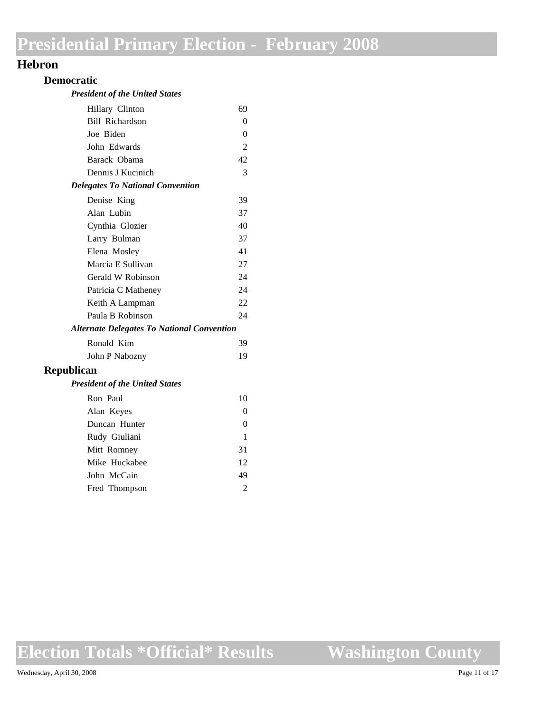### **Hebron**

#### **Democratic**

#### *President of the United States*

| Hillary Clinton                                   | 69             |
|---------------------------------------------------|----------------|
| Bill Richardson                                   | $\Omega$       |
| Joe Biden                                         | $\theta$       |
| John Edwards                                      | $\overline{2}$ |
| Barack Obama                                      | 42             |
| Dennis J Kucinich                                 | 3              |
| <b>Delegates To National Convention</b>           |                |
| Denise King                                       | 39             |
| Alan Lubin                                        | 37             |
| Cynthia Glozier                                   | 40             |
| Larry Bulman                                      | 37             |
| Elena Mosley                                      | 41             |
| Marcia E Sullivan                                 | 27             |
| Gerald W Robinson                                 | 24             |
| Patricia C Matheney                               | 24             |
| Keith A Lampman                                   | 22             |
| Paula B Robinson                                  | 24             |
| <b>Alternate Delegates To National Convention</b> |                |
| Ronald Kim                                        | 39             |
| John P Nabozny                                    | 19             |
| <b>Republican</b>                                 |                |
| <b>President of the United States</b>             |                |
| Ron Paul                                          | 10             |
| Alan Keyes                                        | 0              |
| Duncan Hunter                                     | $\Omega$       |

Rudy Giuliani 1 Mitt Romney 31 Mike Huckabee 12 John McCain 49 Fred Thompson 2

**Election Totals \*Official\* Results**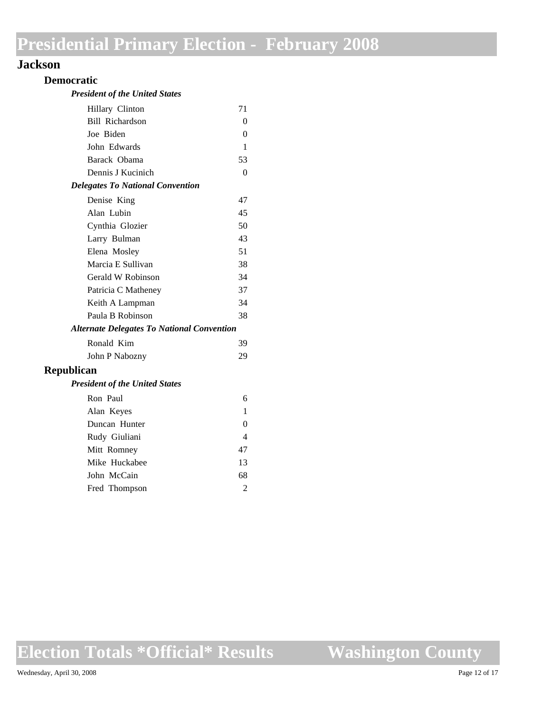### **Jackson**

### **Democratic**

| <b>President of the United States</b> |  |  |  |
|---------------------------------------|--|--|--|
|---------------------------------------|--|--|--|

|                                                   | 71 |
|---------------------------------------------------|----|
| Hillary Clinton                                   |    |
| Bill Richardson                                   | 0  |
| Joe Biden                                         | 0  |
| John Edwards                                      | 1  |
| Barack Obama                                      | 53 |
| Dennis J Kucinich                                 | 0  |
| <b>Delegates To National Convention</b>           |    |
| Denise King                                       | 47 |
| Alan Lubin                                        | 45 |
| Cynthia Glozier                                   | 50 |
| Larry Bulman                                      | 43 |
| Elena Mosley                                      | 51 |
| Marcia E Sullivan                                 | 38 |
| Gerald W Robinson                                 | 34 |
| Patricia C Matheney                               | 37 |
| Keith A Lampman                                   | 34 |
| Paula B Robinson                                  | 38 |
| <b>Alternate Delegates To National Convention</b> |    |
| Ronald Kim                                        | 39 |
| John P Nabozny                                    | 29 |
| <b>Republican</b>                                 |    |
| <b>President of the United States</b>             |    |

| Ron Paul      | 6                           |
|---------------|-----------------------------|
| Alan Keyes    |                             |
| Duncan Hunter | 0                           |
| Rudy Giuliani | 4                           |
| Mitt Romney   | 47                          |
| Mike Huckabee | 13                          |
| John McCain   | 68                          |
| Fred Thompson | $\mathcal{D}_{\mathcal{L}}$ |
|               |                             |

**Election Totals \*Official\* Results**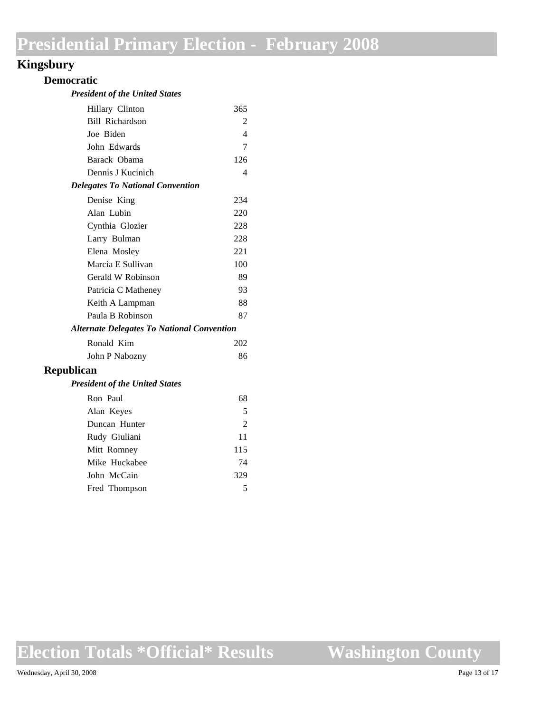## **Kingsbury**

### **Democratic**

#### *President of the United States*

|                                                   | Hillary Clinton                         | 365 |
|---------------------------------------------------|-----------------------------------------|-----|
|                                                   | Bill Richardson                         | 2   |
|                                                   | Joe Biden                               | 4   |
|                                                   | John Edwards                            | 7   |
|                                                   | Barack Obama                            | 126 |
|                                                   | Dennis J Kucinich                       | 4   |
|                                                   | <b>Delegates To National Convention</b> |     |
|                                                   | Denise King                             | 234 |
|                                                   | Alan Lubin                              | 220 |
|                                                   | Cynthia Glozier                         | 228 |
|                                                   | Larry Bulman                            | 228 |
|                                                   | Elena Mosley                            | 221 |
|                                                   | Marcia E Sullivan                       | 100 |
|                                                   | Gerald W Robinson                       | 89  |
|                                                   | Patricia C Matheney                     | 93  |
|                                                   | Keith A Lampman                         | 88  |
|                                                   | Paula B Robinson                        | 87  |
| <b>Alternate Delegates To National Convention</b> |                                         |     |
|                                                   | Ronald Kim                              | 202 |
|                                                   | John P Nabozny                          | 86  |
|                                                   |                                         |     |

### **Republican**

#### *President of the United States*

| Ron Paul      | 68  |
|---------------|-----|
| Alan Keyes    | 5   |
| Duncan Hunter | 2   |
| Rudy Giuliani | 11  |
| Mitt Romney   | 115 |
| Mike Huckabee | 74  |
| John McCain   | 329 |
| Fred Thompson | 5   |

**Election Totals \*Official\* Results**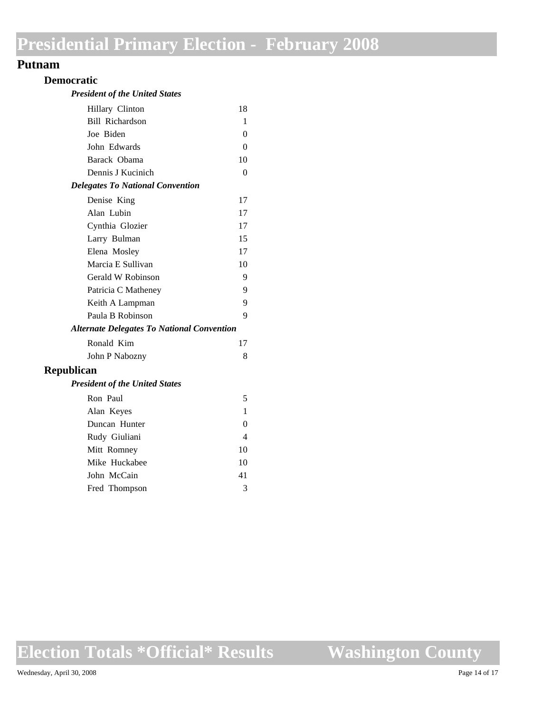### **Putnam**

### **Democratic**

| <b>President of the United States</b> |  |  |  |  |
|---------------------------------------|--|--|--|--|
|---------------------------------------|--|--|--|--|

| Hillary Clinton                                   | 18       |
|---------------------------------------------------|----------|
| <b>Bill Richardson</b>                            | 1        |
| Joe Biden                                         | $\theta$ |
| John Edwards                                      | $\theta$ |
| Barack Obama                                      | 10       |
| Dennis J Kucinich                                 | $\theta$ |
| <b>Delegates To National Convention</b>           |          |
| Denise King                                       | 17       |
| Alan Lubin                                        | 17       |
| Cynthia Glozier                                   | 17       |
| Larry Bulman                                      | 15       |
| Elena Mosley                                      | 17       |
| Marcia E Sullivan                                 | 10       |
| Gerald W Robinson                                 | 9        |
| Patricia C Matheney                               | 9        |
| Keith A Lampman                                   | 9        |
| Paula B Robinson                                  | 9        |
| <b>Alternate Delegates To National Convention</b> |          |
| Ronald Kim                                        | 17       |
| John P Nabozny                                    | 8        |
| Republican                                        |          |
| <b>President of the United States</b>             |          |
| Ron Paul                                          | 5        |
| Alan Keyes                                        | 1        |
| Duncan Hunter                                     | $\theta$ |
| Rudy Giuliani                                     | 4        |
| Mitt Romney                                       | 10       |
| Mike Huckabee                                     | 10       |
| John McCain                                       | 41       |
| Fred Thompson                                     | 3        |

**Election Totals \*Official\* Results**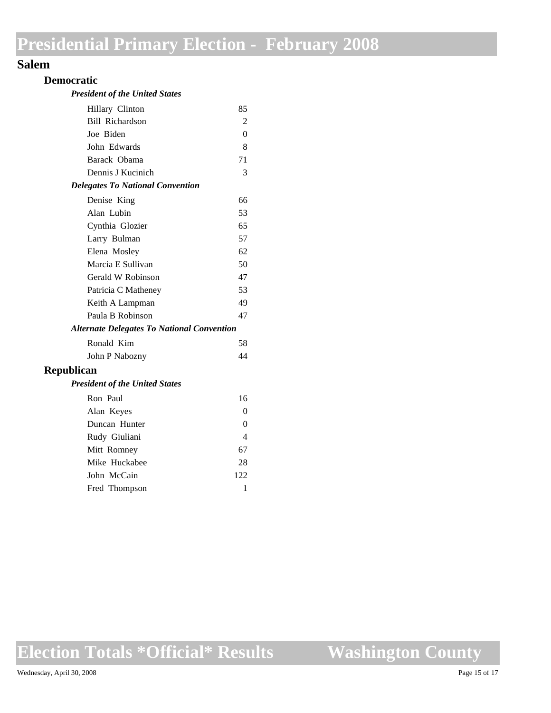### **Salem**

#### **Democratic**

#### *President of the United States*

| Hillary Clinton                                   | 85       |
|---------------------------------------------------|----------|
| <b>Bill Richardson</b>                            | 2        |
| Joe Biden                                         | $\theta$ |
| John Edwards                                      | 8        |
| Barack Obama                                      | 71       |
| Dennis J Kucinich                                 | 3        |
| <b>Delegates To National Convention</b>           |          |
| Denise King                                       | 66       |
| Alan Lubin                                        | 53       |
| Cynthia Glozier                                   | 65       |
| Larry Bulman                                      | 57       |
| Elena Mosley                                      | 62       |
| Marcia E Sullivan                                 | 50       |
| Gerald W Robinson                                 | 47       |
| Patricia C Matheney                               | 53       |
| Keith A Lampman                                   | 49       |
| Paula B Robinson                                  | 47       |
| <b>Alternate Delegates To National Convention</b> |          |
| Ronald Kim                                        | 58       |
| John P Nabozny                                    | 44       |
| Republican                                        |          |
| <b>President of the United States</b>             |          |
| Ron Paul                                          | 16       |
| Alan Keyes                                        | $\theta$ |
| Duncan Hunter                                     | 0        |
| Rudy Giuliani                                     | 4        |

Mitt Romney 67 Mike Huckabee 28 John McCain 122 Fred Thompson 1

**Election Totals \*Official\* Results**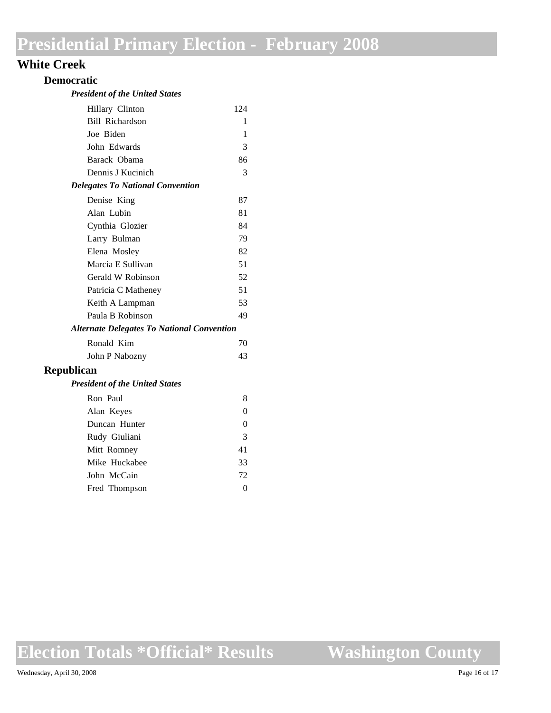### **White Creek**

#### **Democratic**

#### *President of the United States*

| Hillary Clinton                                   | 124      |
|---------------------------------------------------|----------|
| <b>Bill Richardson</b>                            | 1        |
| Joe Biden                                         | 1        |
| John Edwards                                      | 3        |
| Barack Obama                                      | 86       |
| Dennis J Kucinich                                 | 3        |
| <b>Delegates To National Convention</b>           |          |
| Denise King                                       | 87       |
| Alan Lubin                                        | 81       |
| Cynthia Glozier                                   | 84       |
| Larry Bulman                                      | 79       |
| Elena Mosley                                      | 82       |
| Marcia E Sullivan                                 | 51       |
| Gerald W Robinson                                 | 52       |
| Patricia C Matheney                               | 51       |
| Keith A Lampman                                   | 53       |
| Paula B Robinson                                  | 49       |
| <b>Alternate Delegates To National Convention</b> |          |
| Ronald Kim                                        | 70       |
| John P Nabozny                                    | 43       |
| <b>Republican</b>                                 |          |
| <b>President of the United States</b>             |          |
| Ron Paul                                          | 8        |
| Alan Keyes                                        | $\theta$ |
| Duncan Hunter                                     | 0        |
| Rudy Giuliani                                     | 3        |
|                                                   |          |

Mitt Romney 41 Mike Huckabee 33 John McCain 72 Fred Thompson 0

**Election Totals \*Official\* Results**